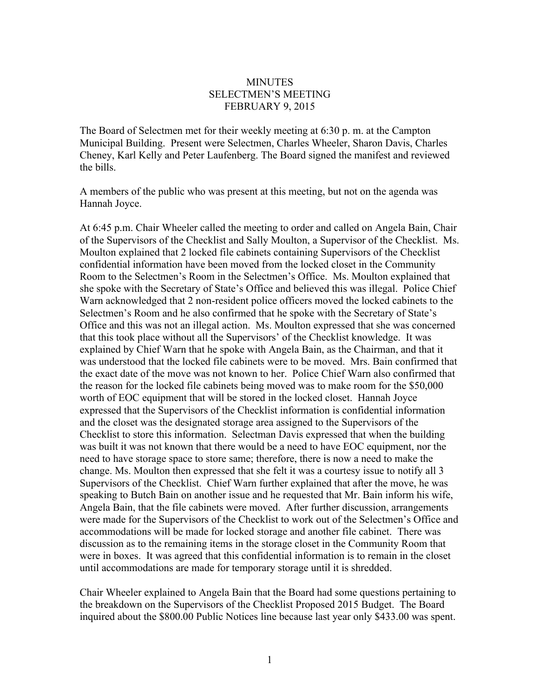## MINUTES SELECTMEN'S MEETING FEBRUARY 9, 2015

The Board of Selectmen met for their weekly meeting at 6:30 p. m. at the Campton Municipal Building. Present were Selectmen, Charles Wheeler, Sharon Davis, Charles Cheney, Karl Kelly and Peter Laufenberg. The Board signed the manifest and reviewed the bills.

A members of the public who was present at this meeting, but not on the agenda was Hannah Joyce.

At 6:45 p.m. Chair Wheeler called the meeting to order and called on Angela Bain, Chair of the Supervisors of the Checklist and Sally Moulton, a Supervisor of the Checklist. Ms. Moulton explained that 2 locked file cabinets containing Supervisors of the Checklist confidential information have been moved from the locked closet in the Community Room to the Selectmen's Room in the Selectmen's Office. Ms. Moulton explained that she spoke with the Secretary of State's Office and believed this was illegal. Police Chief Warn acknowledged that 2 non-resident police officers moved the locked cabinets to the Selectmen's Room and he also confirmed that he spoke with the Secretary of State's Office and this was not an illegal action. Ms. Moulton expressed that she was concerned that this took place without all the Supervisors' of the Checklist knowledge. It was explained by Chief Warn that he spoke with Angela Bain, as the Chairman, and that it was understood that the locked file cabinets were to be moved. Mrs. Bain confirmed that the exact date of the move was not known to her. Police Chief Warn also confirmed that the reason for the locked file cabinets being moved was to make room for the \$50,000 worth of EOC equipment that will be stored in the locked closet. Hannah Joyce expressed that the Supervisors of the Checklist information is confidential information and the closet was the designated storage area assigned to the Supervisors of the Checklist to store this information. Selectman Davis expressed that when the building was built it was not known that there would be a need to have EOC equipment, nor the need to have storage space to store same; therefore, there is now a need to make the change. Ms. Moulton then expressed that she felt it was a courtesy issue to notify all 3 Supervisors of the Checklist. Chief Warn further explained that after the move, he was speaking to Butch Bain on another issue and he requested that Mr. Bain inform his wife, Angela Bain, that the file cabinets were moved. After further discussion, arrangements were made for the Supervisors of the Checklist to work out of the Selectmen's Office and accommodations will be made for locked storage and another file cabinet. There was discussion as to the remaining items in the storage closet in the Community Room that were in boxes. It was agreed that this confidential information is to remain in the closet until accommodations are made for temporary storage until it is shredded.

Chair Wheeler explained to Angela Bain that the Board had some questions pertaining to the breakdown on the Supervisors of the Checklist Proposed 2015 Budget. The Board inquired about the \$800.00 Public Notices line because last year only \$433.00 was spent.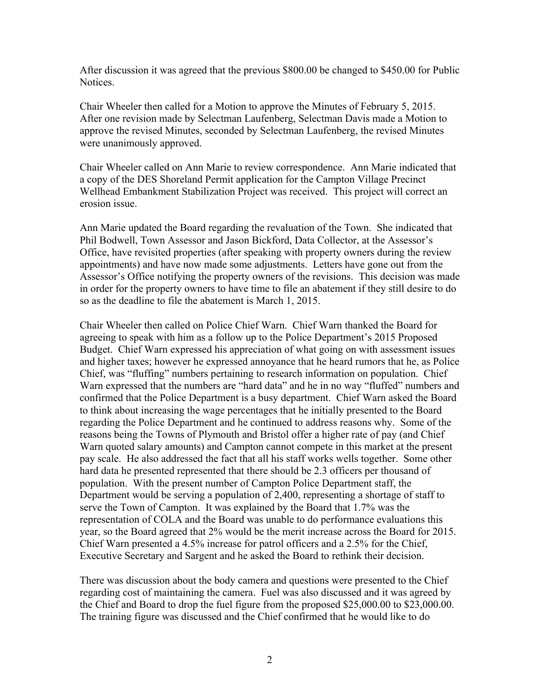After discussion it was agreed that the previous \$800.00 be changed to \$450.00 for Public Notices.

Chair Wheeler then called for a Motion to approve the Minutes of February 5, 2015. After one revision made by Selectman Laufenberg, Selectman Davis made a Motion to approve the revised Minutes, seconded by Selectman Laufenberg, the revised Minutes were unanimously approved.

Chair Wheeler called on Ann Marie to review correspondence. Ann Marie indicated that a copy of the DES Shoreland Permit application for the Campton Village Precinct Wellhead Embankment Stabilization Project was received. This project will correct an erosion issue.

Ann Marie updated the Board regarding the revaluation of the Town. She indicated that Phil Bodwell, Town Assessor and Jason Bickford, Data Collector, at the Assessor's Office, have revisited properties (after speaking with property owners during the review appointments) and have now made some adjustments. Letters have gone out from the Assessor's Office notifying the property owners of the revisions. This decision was made in order for the property owners to have time to file an abatement if they still desire to do so as the deadline to file the abatement is March 1, 2015.

Chair Wheeler then called on Police Chief Warn. Chief Warn thanked the Board for agreeing to speak with him as a follow up to the Police Department's 2015 Proposed Budget. Chief Warn expressed his appreciation of what going on with assessment issues and higher taxes; however he expressed annoyance that he heard rumors that he, as Police Chief, was "fluffing" numbers pertaining to research information on population. Chief Warn expressed that the numbers are "hard data" and he in no way "fluffed" numbers and confirmed that the Police Department is a busy department. Chief Warn asked the Board to think about increasing the wage percentages that he initially presented to the Board regarding the Police Department and he continued to address reasons why. Some of the reasons being the Towns of Plymouth and Bristol offer a higher rate of pay (and Chief Warn quoted salary amounts) and Campton cannot compete in this market at the present pay scale. He also addressed the fact that all his staff works wells together. Some other hard data he presented represented that there should be 2.3 officers per thousand of population. With the present number of Campton Police Department staff, the Department would be serving a population of 2,400, representing a shortage of staff to serve the Town of Campton. It was explained by the Board that 1.7% was the representation of COLA and the Board was unable to do performance evaluations this year, so the Board agreed that 2% would be the merit increase across the Board for 2015. Chief Warn presented a 4.5% increase for patrol officers and a 2.5% for the Chief, Executive Secretary and Sargent and he asked the Board to rethink their decision.

There was discussion about the body camera and questions were presented to the Chief regarding cost of maintaining the camera. Fuel was also discussed and it was agreed by the Chief and Board to drop the fuel figure from the proposed \$25,000.00 to \$23,000.00. The training figure was discussed and the Chief confirmed that he would like to do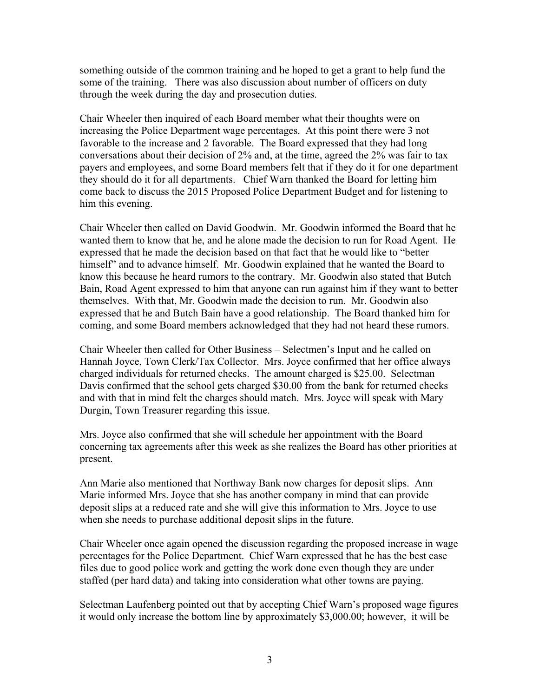something outside of the common training and he hoped to get a grant to help fund the some of the training. There was also discussion about number of officers on duty through the week during the day and prosecution duties.

Chair Wheeler then inquired of each Board member what their thoughts were on increasing the Police Department wage percentages. At this point there were 3 not favorable to the increase and 2 favorable. The Board expressed that they had long conversations about their decision of 2% and, at the time, agreed the 2% was fair to tax payers and employees, and some Board members felt that if they do it for one department they should do it for all departments. Chief Warn thanked the Board for letting him come back to discuss the 2015 Proposed Police Department Budget and for listening to him this evening.

Chair Wheeler then called on David Goodwin. Mr. Goodwin informed the Board that he wanted them to know that he, and he alone made the decision to run for Road Agent. He expressed that he made the decision based on that fact that he would like to "better himself" and to advance himself. Mr. Goodwin explained that he wanted the Board to know this because he heard rumors to the contrary. Mr. Goodwin also stated that Butch Bain, Road Agent expressed to him that anyone can run against him if they want to better themselves. With that, Mr. Goodwin made the decision to run. Mr. Goodwin also expressed that he and Butch Bain have a good relationship. The Board thanked him for coming, and some Board members acknowledged that they had not heard these rumors.

Chair Wheeler then called for Other Business – Selectmen's Input and he called on Hannah Joyce, Town Clerk/Tax Collector. Mrs. Joyce confirmed that her office always charged individuals for returned checks. The amount charged is \$25.00. Selectman Davis confirmed that the school gets charged \$30.00 from the bank for returned checks and with that in mind felt the charges should match. Mrs. Joyce will speak with Mary Durgin, Town Treasurer regarding this issue.

Mrs. Joyce also confirmed that she will schedule her appointment with the Board concerning tax agreements after this week as she realizes the Board has other priorities at present.

Ann Marie also mentioned that Northway Bank now charges for deposit slips. Ann Marie informed Mrs. Joyce that she has another company in mind that can provide deposit slips at a reduced rate and she will give this information to Mrs. Joyce to use when she needs to purchase additional deposit slips in the future.

Chair Wheeler once again opened the discussion regarding the proposed increase in wage percentages for the Police Department. Chief Warn expressed that he has the best case files due to good police work and getting the work done even though they are under staffed (per hard data) and taking into consideration what other towns are paying.

Selectman Laufenberg pointed out that by accepting Chief Warn's proposed wage figures it would only increase the bottom line by approximately \$3,000.00; however, it will be